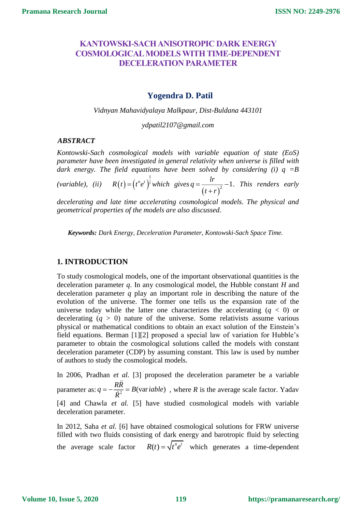# **KANTOWSKI-SACH ANISOTROPIC DARK ENERGY COSMOLOGICAL MODELS WITH TIME-DEPENDENT DECELERATION PARAMETER**

# **Yogendra D. Patil**

*Vidnyan Mahavidyalaya Malkpaur, Dist-Buldana 443101*

*ydpatil2107@gmail.com*

## *1 ABSTRACT*

*Kontowski-Sach cosmological models with variable equation of state (EoS) parameter have been investigated in general relativity when universe is filled with dark energy. The field equations have been solved by considering (i) q =B* 

(variable), (ii)  $R(t) = (t^n e^t)^{\frac{1}{l}}$  $R(t) = (t^n e^t)^t$  which gives  $q = \frac{lr}{(t + r)^2} - 1$  $t + r$  $=\frac{u}{\sqrt{2}}-1$  $\overline{+}$ *. This renders early* 

*decelerating and late time accelerating cosmological models. The physical and geometrical properties of the models are also discussed.* 

*Keywords: Dark Energy, Deceleration Parameter, Kontowski-Sach Space Time.*

## **1. INTRODUCTION**

To study cosmological models, one of the important observational quantities is the deceleration parameter *q*. In any cosmological model, the Hubble constant *H* and deceleration parameter *q* play an important role in describing the nature of the evolution of the universe. The former one tells us the expansion rate of the universe today while the latter one characterizes the accelerating  $(q < 0)$  or decelerating  $(q > 0)$  nature of the universe. Some relativists assume various physical or mathematical conditions to obtain an exact solution of the Einstein's field equations. Berman [1][2] proposed a special law of variation for Hubble's parameter to obtain the cosmological solutions called the models with constant deceleration parameter (CDP) by assuming constant. This law is used by number of authors to study the cosmological models.

In 2006, Pradhan *et al.* [3] proposed the deceleration parameter be a variable parameter as:  $q = -\frac{R\ddot{R}}{\dot{R}^2} = B(\text{var} \text{ table})$  $=-\frac{RR}{h^2}$  = B(var*iable*), where R is the average scale factor. Yadav [4] and Chawla *et al.* [5] have studied cosmological models with variable deceleration parameter.

In 2012, Saha *et al.* [6] have obtained cosmological solutions for FRW universe filled with two fluids consisting of dark energy and barotropic fluid by selecting the average scale factor  $R(t) = \sqrt{t^n e^t}$  which generates a time-dependent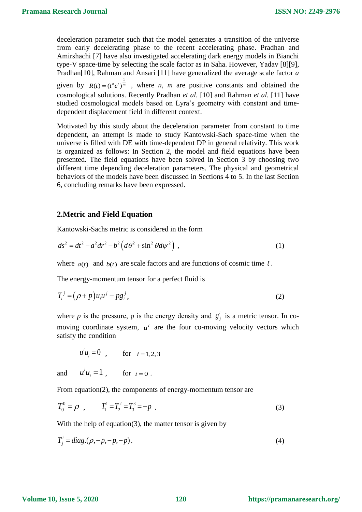deceleration parameter such that the model generates a transition of the universe from early decelerating phase to the recent accelerating phase. Pradhan and Amirshachi [7] have also investigated accelerating dark energy models in Bianchi type-V space-time by selecting the scale factor as in Saha. However, Yadav [8][9], Pradhan[10], Rahman and Ansari [11] have generalized the average scale factor *a* 

given by  $R(t) = (t^n e^t)^{\frac{1}{m}}$ , where *n*, *m* are positive constants and obtained the cosmological solutions. Recently Pradhan *et al.* [10] and Rahman *et al.* [11] have studied cosmological models based on Lyra's geometry with constant and timedependent displacement field in different context.

Motivated by this study about the deceleration parameter from constant to time dependent, an attempt is made to study Kantowski-Sach space-time when the universe is filled with DE with time-dependent DP in general relativity. This work is organized as follows: In Section 2, the model and field equations have been presented. The field equations have been solved in Section 3 by choosing two different time depending deceleration parameters. The physical and geometrical behaviors of the models have been discussed in Sections 4 to 5. In the last Section 6, concluding remarks have been expressed.

#### **2.Metric and Field Equation**

Kantowski-Sachs metric is considered in the form

$$
ds2 = dt2 - a2 dr2 - b2 (d\theta2 + \sin2 \theta d\psi2),
$$
 (1)

where  $a(t)$  and  $b(t)$  are scale factors and are functions of cosmic time t.

The energy-momentum tensor for a perfect fluid is

$$
T_i^j = (\rho + p)u_i u^j - pg_i^j,\tag{2}
$$

where *p* is the pressure,  $\rho$  is the energy density and  $g^i$  $g_j^i$  is a metric tensor. In comoving coordinate system,  $u^i$  are the four co-moving velocity vectors which satisfy the condition

$$
u^{i}u_{i} = 0
$$
, for  $i = 1, 2, 3$ 

and  $^{i}u_{\cdot}=1$  $u^i u_i = 1$ , for  $i = 0$ .

From equation(2), the components of energy-momentum tensor are

$$
T_0^0 = \rho \quad , \qquad T_1^1 = T_2^2 = T_3^3 = -p \quad . \tag{3}
$$

With the help of equation(3), the matter tensor is given by

$$
T_j^i = diag.(\rho, -p, -p, -p). \tag{4}
$$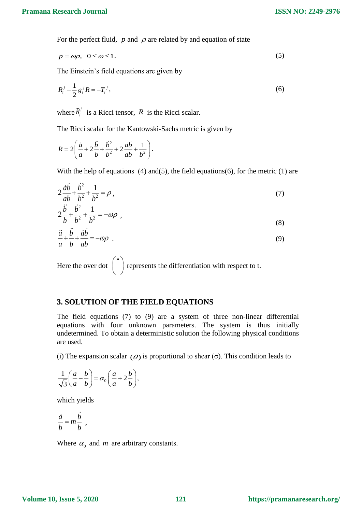For the perfect fluid,  $p$  and  $\rho$  are related by and equation of state

$$
p = \omega \rho, \ \ 0 \le \omega \le 1. \tag{5}
$$

The Einstein's field equations are given by

$$
R_i^j - \frac{1}{2} g_i^j R = -T_i^j,
$$
\t(6)

where  $R_i^j$  is a Ricci tensor, R is the Ricci scalar.

The Ricci scalar for the Kantowski-Sachs metric is given by

$$
R = 2\left(\frac{\ddot{a}}{a} + 2\frac{\dot{b}}{b} + \frac{\dot{b}^2}{b^2} + 2\frac{\dot{a}b}{ab} + \frac{1}{b^2}\right).
$$

With the help of equations  $(4)$  and $(5)$ , the field equations $(6)$ , for the metric  $(1)$  are

$$
2\frac{\dot{a}\dot{b}}{ab} + \frac{\dot{b}^2}{b^2} + \frac{1}{b^2} = \rho \,,\tag{7}
$$

$$
2\frac{\ddot{b}}{b} + \frac{\dot{b}^2}{b^2} + \frac{1}{b^2} = -\omega\rho \tag{8}
$$

$$
\frac{\ddot{a}}{a} + \frac{b}{b} + \frac{\dot{a}b}{ab} = -\omega\rho \tag{9}
$$

Here the over dot  $\begin{pmatrix} \cdot \\ \cdot \end{pmatrix}$ represents the differentiation with respect to t.

## **3. SOLUTION OF THE FIELD EQUATIONS**

The field equations (7) to (9) are a system of three non-linear differential equations with four unknown parameters. The system is thus initially undetermined. To obtain a deterministic solution the following physical conditions are used.

(i) The expansion scalar  $(\theta)$  is proportional to shear (σ). This condition leads to

$$
\frac{1}{\sqrt{3}}\left(\frac{\dot{a}}{a} - \frac{\dot{b}}{b}\right) = \alpha_0 \left(\frac{\dot{a}}{a} + 2\frac{\dot{b}}{b}\right),\,
$$

which yields

$$
\frac{\dot{a}}{b} = m \frac{\dot{b}}{b} ,
$$

Where  $\alpha_0$  and *m* are arbitrary constants.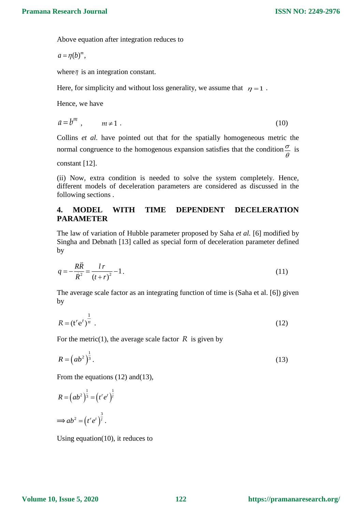$\theta$ 

Above equation after integration reduces to

 $a = \eta(b)^m$ ,

where  $\eta$  is an integration constant.

Here, for simplicity and without loss generality, we assume that  $\eta = 1$ .

Hence, we have

$$
a = b^m, \qquad m \neq 1. \tag{10}
$$

Collins *et al.* have pointed out that for the spatially homogeneous metric the normal congruence to the homogenous expansion satisfies that the condition  $\frac{\sigma}{\sigma}$  is

constant [12].

(ii) Now, extra condition is needed to solve the system completely. Hence, different models of deceleration parameters are considered as discussed in the following sections .

# **4. MODEL WITH TIME DEPENDENT DECELERATION PARAMETER**

The law of variation of Hubble parameter proposed by Saha *et al.* [6] modified by Singha and Debnath [13] called as special form of deceleration parameter defined by

$$
q = -\frac{R\ddot{R}}{\dot{R}^2} = \frac{l\,r}{(t+r)^2} - 1\,. \tag{11}
$$

The average scale factor as an integrating function of time is (Saha et al. [6]) given by

$$
R = \left(\mathbf{t}^r \mathbf{e}^t\right)^{\frac{1}{n}}.\tag{12}
$$

For the metric(1), the average scale factor  $R$  is given by

$$
R = \left( ab^2 \right)^{\frac{1}{3}}.
$$
\n<sup>(13)</sup>

From the equations (12) and (13).

$$
R = (ab2)\frac{1}{3} = (tret)\frac{1}{l}
$$

$$
\implies ab2 = (tret)\frac{3}{l}.
$$

Using equation(10), it reduces to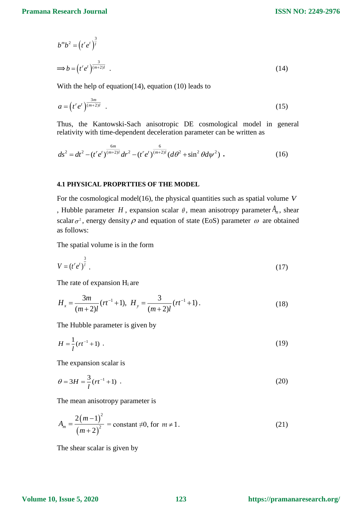**ISSN NO: 2249-2976**

$$
b^m b^2 = (t^r e^t)^{\frac{3}{l}}
$$
  
\n
$$
\Rightarrow b = (t^r e^t)^{\frac{3}{(m+2)l}}.
$$
\n(14)

With the help of equation(14), equation (10) leads to

$$
a = \left(t^r e^t\right)^{\frac{3m}{(m+2)l}}\tag{15}
$$

Thus, the Kantowski-Sach anisotropic DE cosmological model in general relativity with time-dependent deceleration parameter can be written as

$$
ds^{2} = dt^{2} - (t^{r} e^{t})^{\frac{6m}{(m+2)l}} dr^{2} - (t^{r} e^{t})^{\frac{6}{(m+2)l}} (d\theta^{2} + \sin^{2} \theta d\psi^{2}).
$$
 (16)

### **4.1 PHYSICAL PROPRTTIES OF THE MODEL**

For the cosmological model(16), the physical quantities such as spatial volume *V* , Hubble parameter H, expansion scalar  $\theta$ , mean anisotropy parameter  $A_m$ , shear scalar  $\sigma^2$ , energy density  $\rho$  and equation of state (EoS) parameter  $\omega$  are obtained as follows:

The spatial volume is in the form

$$
V = (t^r e^t)^{\frac{3}{l}} \tag{17}
$$

The rate of expansion Hi are

$$
H_x = \frac{3m}{(m+2)l} (rt^{-1} + 1), \ H_y = \frac{3}{(m+2)l} (rt^{-1} + 1).
$$
 (18)

The Hubble parameter is given by

$$
H = \frac{1}{l}(rt^{-1} + 1) \tag{19}
$$

The expansion scalar is

$$
\theta = 3H = \frac{3}{l}(rt^{-1} + 1) \tag{20}
$$

The mean anisotropy parameter is

$$
A_m = \frac{2(m-1)^2}{(m+2)^2} = \text{constant} \neq 0, \text{ for } m \neq 1.
$$
 (21)

The shear scalar is given by

### **Volume 10, Issue 5, 2020**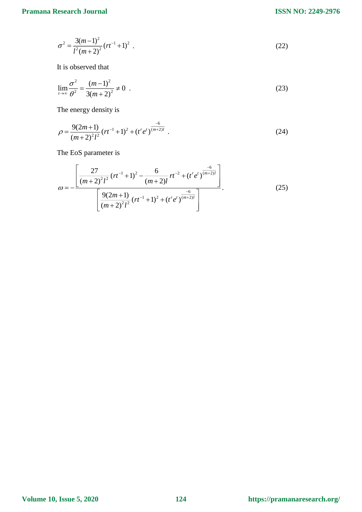$$
\sigma^2 = \frac{3(m-1)^2}{l^2(m+2)^2} (rt^{-1}+1)^2 \tag{22}
$$

It is observed that

$$
\lim_{t \to \infty} \frac{\sigma^2}{\theta^2} = \frac{(m-1)^2}{3(m+2)^2} \neq 0 \tag{23}
$$

The energy density is

$$
\rho = \frac{9(2m+1)}{(m+2)^2 l^2} (rt^{-1}+1)^2 + (t' e^{t})^{\frac{-6}{(m+2)l}}.
$$
\n(24)

The EoS parameter is

$$
\omega = -\frac{\left[\frac{27}{\left(m+2\right)^{2}l^{2}}\left(rt^{-1}+1\right)^{2}-\frac{6}{\left(m+2\right)l}rt^{-2}+\left(t^{r}e^{t}\right)^{\frac{-6}{\left(m+2\right)l}}\right]}{\left[\frac{9(2m+1)}{\left(m+2\right)^{2}l^{2}}\left(rt^{-1}+1\right)^{2}+\left(t^{r}e^{t}\right)^{\frac{-6}{\left(m+2\right)l}}\right]}.
$$
\n(25)

**Volume 10, Issue 5, 2020**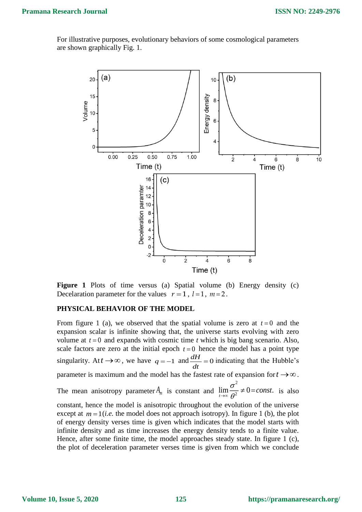For illustrative purposes, evolutionary behaviors of some cosmological parameters are shown graphically Fig. 1.



**Figure 1** Plots of time versus (a) Spatial volume (b) Energy density (c) Decelaration parameter for the values  $r = 1$ ,  $l = 1$ ,  $m = 2$ .

#### **PHYSICAL BEHAVIOR OF THE MODEL**

From figure 1 (a), we observed that the spatial volume is zero at  $t = 0$  and the expansion scalar is infinite showing that, the universe starts evolving with zero volume at  $t = 0$  and expands with cosmic time  $t$  which is big bang scenario. Also, scale factors are zero at the initial epoch  $t = 0$  hence the model has a point type singularity. At  $t \to \infty$ , we have  $q = -1$  and  $\frac{dH}{dt} = 0$  indicating that the Hubble's parameter is maximum and the model has the fastest rate of expansion for  $t \rightarrow \infty$ . The mean anisotropy parameter  $A_m$  is constant and  $\lim_{n \to \infty} \frac{A_m}{a} \neq 0$  = const. is also constant, hence the model is anisotropic throughout the evolution of the universe except at  $m = 1$  (*i.e.* the model does not approach isotropy). In figure 1 (b), the plot of energy density verses time is given which indicates that the model starts with infinite density and as time increases the energy density tends to a finite value. Hence, after some finite time, the model approaches steady state. In figure 1 (c), the plot of deceleration parameter verses time is given from which we conclude  $\frac{d}{dt}$  = 2  $\lim_{t\to\infty}\frac{\sigma}{\rho^2}\neq 0=const.$  $\theta$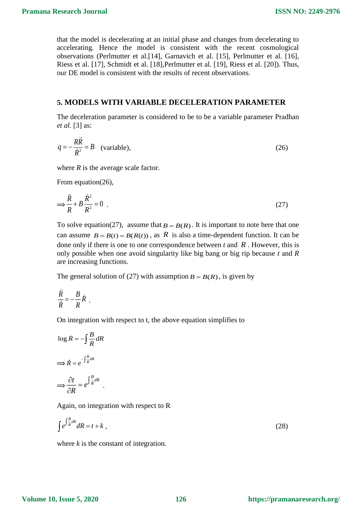that the model is decelerating at an initial phase and changes from decelerating to accelerating. Hence the model is consistent with the recent cosmological observations (Perlmutter et al.[14], Garnavich et al. [15], Perlmutter et al. [16], Riess et al. [17], Schmidt et al. [18],Perlmutter et al. [19], Riess et al. [20]). Thus, our DE model is consistent with the results of recent observations.

### **5. MODELS WITH VARIABLE DECELERATION PARAMETER**

The deceleration parameter is considered to be to be a variable parameter Pradhan *et al.* [3] as:

$$
q = -\frac{RR}{\dot{R}^2} = B \quad \text{(variable)},\tag{26}
$$

where *R* is the average scale factor.

From equation(26),

 $\ddot{\phantom{a}}$ 

$$
\Rightarrow \frac{\ddot{R}}{R} + B \frac{\dot{R}^2}{R^2} = 0 \tag{27}
$$

To solve equation(27), assume that  $B = B(R)$ . It is important to note here that one can assume  $B = B(t) = B(R(t))$ , as R is also a time-dependent function. It can be done only if there is one to one correspondence between  $t$  and  $R$ . However, this is only possible when one avoid singularity like big bang or big rip because *t* and *R* are increasing functions.

The general solution of (27) with assumption  $B = B(R)$ , is given by

$$
\frac{\ddot{R}}{\dot{R}} = -\frac{B}{R}\dot{R} .
$$

On integration with respect to t, the above equation simplifies to

$$
\log \dot{R} = -\int \frac{B}{R} dR
$$

$$
\implies \dot{R} = e^{-\int \frac{B}{R} dR}
$$

$$
\implies \frac{\partial t}{\partial R} = e^{\int \frac{B}{R} dR}.
$$

Again, on integration with respect to R

$$
\int e^{\int \frac{B}{R} dR} dR = t + k \tag{28}
$$

where *k* is the constant of integration.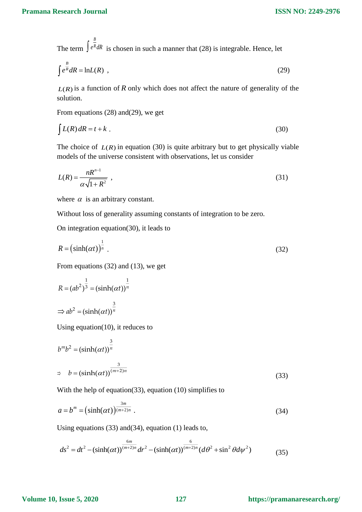The term  $\int e^{k} dR$  is chosen in such a manner that (28) is integrable. Hence, let *B*  $\int e^{\overline{R}} dR$ 

$$
\int e^{\frac{B}{R}} dR = \ln L(R) \tag{29}
$$

 $L(R)$  is a function of R only which does not affect the nature of generality of the solution.

From equations (28) and(29), we get

$$
\int L(R) \, dR = t + k \tag{30}
$$

The choice of  $L(R)$  in equation (30) is quite arbitrary but to get physically viable models of the universe consistent with observations, let us consider

$$
L(R) = \frac{nR^{n-1}}{\alpha \sqrt{1 + R^2}} \tag{31}
$$

where  $\alpha$  is an arbitrary constant.

Without loss of generality assuming constants of integration to be zero.

On integration equation(30), it leads to

$$
R = \left(\sinh(\alpha t)\right)^{\frac{1}{n}}.\tag{32}
$$

From equations (32) and (13), we get

$$
R = (ab2)\frac{1}{3} = (sinh(\alpha t))\frac{1}{n}
$$
  
\n
$$
\Rightarrow ab2 = (sinh(\alpha t))\frac{3}{n}
$$

Using equation(10), it reduces to

$$
b^{m}b^{2} = (\sinh(\alpha t))^{\frac{3}{n}}
$$
  
\n
$$
\Rightarrow b = (\sinh(\alpha t))^{\frac{3}{(m+2)n}}
$$
\n(33)

With the help of equation(33), equation (10) simplifies to

$$
a = b^m = \left(\sinh(\alpha t)\right)^{\frac{3m}{(m+2)n}}.\tag{34}
$$

Using equations (33) and(34), equation (1) leads to,

$$
ds^{2} = dt^{2} - (\sinh(\alpha t))^{\frac{6m}{(m+2)n}} dr^{2} - (\sinh(\alpha t))^{\frac{6}{(m+2)n}} (d\theta^{2} + \sin^{2}\theta d\psi^{2})
$$
(35)

### **Volume 10, Issue 5, 2020**

### **127 https://pramanaresearch.org/**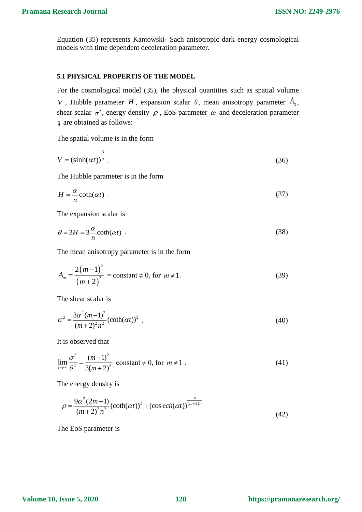Equation (35) represents Kantowski- Sach anisotropic dark energy cosmological models with time dependent deceleration parameter.

### **5.1 PHYSICAL PROPERTIS OF THE MODEL**

For the cosmological model (35), the physical quantities such as spatial volume V, Hubble parameter H, expansion scalar  $\theta$ , mean anisotropy parameter  $A_m$ , shear scalar  $\sigma^2$ , energy density  $\rho$ , EoS parameter  $\omega$  and deceleration parameter are obtained as follows: *q*

The spatial volume is in the form

$$
V = (\sinh(\alpha t))^{\frac{3}{n}}.
$$
 (36)

The Hubble parameter is in the form

$$
H = -\frac{\alpha}{n} \coth(\alpha t) \tag{37}
$$

The expansion scalar is

$$
\theta = 3H = 3\frac{\alpha}{n}\coth(\alpha t) \tag{38}
$$

The mean anisotropy parameter is in the form

$$
A_m = \frac{2(m-1)^2}{(m+2)^2} = \text{constant} \neq 0, \text{ for } m \neq 1.
$$
 (39)

The shear scalar is

$$
\sigma^2 = \frac{3\alpha^2 (m-1)^2}{(m+2)^2 n^2} (\coth(\alpha t))^2
$$
 (40)

It is observed that

$$
\lim_{t \to \infty} \frac{\sigma^2}{\theta^2} = \frac{(m-1)^2}{3(m+2)^2} \text{ constant} \neq 0, \text{ for } m \neq 1.
$$
 (41)

The energy density is

$$
\rho = \frac{9\alpha^2 (2m+1)}{(m+2)^2 n^2} (\coth(\alpha t))^2 + (\cos ech(\alpha t))^{\frac{6}{(m+2)n}}
$$
\n(42)

The EoS parameter is

#### **Volume 10, Issue 5, 2020**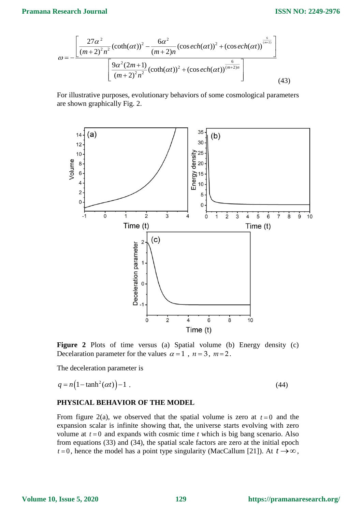## **Pramana Research Journal**

$$
\omega = -\frac{\left[\frac{27\alpha^2}{(m+2)^2n^2}(\coth(\alpha t))^2 - \frac{6\alpha^2}{(m+2)n}(\cos ech(\alpha t))^2 + (\cos ech(\alpha t))^{\frac{6}{(m+2)}}\right]}{\left[\frac{9\alpha^2(2m+1)}{(m+2)^2n^2}(\coth(\alpha t))^2 + (\cos ech(\alpha t))^{\frac{6}{(m+2)n}}\right]}
$$
(43)

For illustrative purposes, evolutionary behaviors of some cosmological parameters are shown graphically Fig. 2.



**Figure 2** Plots of time versus (a) Spatial volume (b) Energy density (c) Decelaration parameter for the values  $\alpha = 1$ ,  $n = 3$ ,  $m = 2$ .

The deceleration parameter is

$$
q = n\left(1 - \tanh^2(\alpha t)\right) - 1\tag{44}
$$

### **PHYSICAL BEHAVIOR OF THE MODEL**

From figure 2(a), we observed that the spatial volume is zero at  $t = 0$  and the expansion scalar is infinite showing that, the universe starts evolving with zero volume at  $t = 0$  and expands with cosmic time  $t$  which is big bang scenario. Also from equations (33) and (34), the spatial scale factors are zero at the initial epoch  $t = 0$ , hence the model has a point type singularity (MacCallum [21]). At  $t \rightarrow \infty$ ,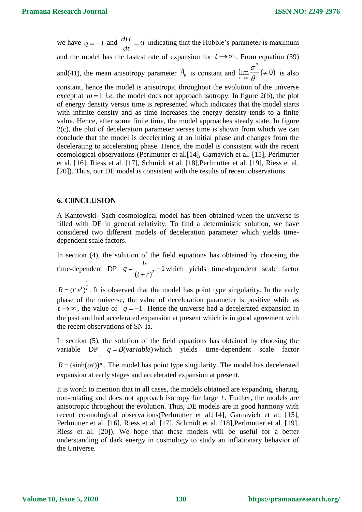we have  $q = -1$  and  $\frac{dH}{dt} = 0$  indicating that the Hubble's parameter is maximum and the model has the fastest rate of expansion for  $t \rightarrow \infty$ . From equation (39) and(41), the mean anisotropy parameter  $A_m$  is constant and  $\lim_{n \to \infty} \frac{6}{n^2} (\neq 0)$  is also constant, hence the model is anisotropic throughout the evolution of the universe except at  $m=1$  *i.e.* the model does not approach isotropy. In figure 2(b), the plot of energy density versus time is represented which indicates that the model starts with infinite density and as time increases the energy density tends to a finite value. Hence, after some finite time, the model approaches steady state. In figure 2(c), the plot of deceleration parameter verses time is shown from which we can conclude that the model is decelerating at an initial phase and changes from the decelerating to accelerating phase. Hence, the model is consistent with the recent cosmological observations (Perlmutter et al.[14], Garnavich et al. [15], Perlmutter et al. [16], Riess et al. [17], Schmidt et al. [18],Perlmutter et al. [19], Riess et al. [20]). Thus, our DE model is consistent with the results of recent observations.  $\frac{d}{dt}$  = 2  $\lim_{t\to\infty}\frac{\sigma}{\theta^2}(\neq 0)$  $\theta$ 

## **6. C0NCLUSION**

1

A Kantowski- Sach cosmological model has been obtained when the universe is filled with DE in general relativity. To find a deterministic solution, we have considered two different models of deceleration parameter which yields timedependent scale factors.

In section (4), the solution of the field equations has obtained by choosing the time-dependent DP  $q = \frac{a}{(1+a)^2} - 1$  $(t + r)$ *lr*  $q = \frac{a}{(t+r)^2} - 1$  which yields time-dependent scale factor

 $R = (t^r e^t)^t$ . It is observed that the model has point type singularity. In the early phase of the universe, the value of deceleration parameter is positive while as  $t \rightarrow \infty$ , the value of  $q = -1$ . Hence the universe had a decelerated expansion in the past and had accelerated expansion at present which is in good agreement with the recent observations of SN Ia.

In section (5), the solution of the field equations has obtained by choosing the variable DP  $q = B(\text{var} \text{ table})$  which yields time-dependent scale factor 1  $R = (\sinh(\alpha t))^n$ . The model has point type singularity. The model has decelerated expansion at early stages and accelerated expansion at present.

It is worth to mention that in all cases, the models obtained are expanding, sharing, non-rotating and does not approach isotropy for large *<sup>t</sup>* . Further, the models are anisotropic throughout the evolution. Thus, DE models are in good harmony with recent cosmological observations(Perlmutter et al.[14], Garnavich et al. [15], Perlmutter et al. [16], Riess et al. [17], Schmidt et al. [18], Perlmutter et al. [19], Riess et al. [20]). We hope that these models will be useful for a better understanding of dark energy in cosmology to study an inflationary behavior of the Universe.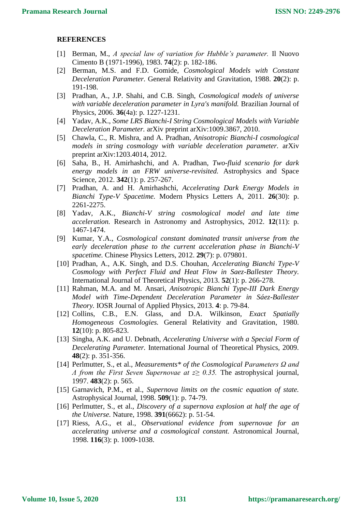#### **REFERENCES**

- [1] Berman, M., *A special law of variation for Hubble's parameter.* Il Nuovo Cimento B (1971-1996), 1983. **74**(2): p. 182-186.
- [2] Berman, M.S. and F.D. Gomide, *Cosmological Models with Constant Deceleration Parameter.* General Relativity and Gravitation, 1988. **20**(2): p. 191-198.
- [3] Pradhan, A., J.P. Shahi, and C.B. Singh, *Cosmological models of universe with variable deceleration parameter in Lyra's manifold.* Brazilian Journal of Physics, 2006. **36**(4a): p. 1227-1231.
- [4] Yadav, A.K., *Some LRS Bianchi-I String Cosmological Models with Variable Deceleration Parameter.* arXiv preprint arXiv:1009.3867, 2010.
- [5] Chawla, C., R. Mishra, and A. Pradhan, *Anisotropic Bianchi-I cosmological models in string cosmology with variable deceleration parameter.* arXiv preprint arXiv:1203.4014, 2012.
- [6] Saha, B., H. Amirhashchi, and A. Pradhan, *Two-fluid scenario for dark energy models in an FRW universe-revisited.* Astrophysics and Space Science, 2012. **342**(1): p. 257-267.
- [7] Pradhan, A. and H. Amirhashchi, *Accelerating Dark Energy Models in Bianchi Type-V Spacetime.* Modern Physics Letters A, 2011. **26**(30): p. 2261-2275.
- [8] Yadav, A.K., *Bianchi-V string cosmological model and late time acceleration.* Research in Astronomy and Astrophysics, 2012. **12**(11): p. 1467-1474.
- [9] Kumar, Y.A., *Cosmological constant dominated transit universe from the early deceleration phase to the current acceleration phase in Bianchi-V spacetime.* Chinese Physics Letters, 2012. **29**(7): p. 079801.
- [10] Pradhan, A., A.K. Singh, and D.S. Chouhan, *Accelerating Bianchi Type-V Cosmology with Perfect Fluid and Heat Flow in Saez-Ballester Theory.* International Journal of Theoretical Physics, 2013. **52**(1): p. 266-278.
- [11] Rahman, M.A. and M. Ansari, *Anisotropic Bianchi Type-III Dark Energy Model with Time-Dependent Deceleration Parameter in Sáez-Ballester Theory.* IOSR Journal of Applied Physics, 2013. **4**: p. 79-84.
- [12] Collins, C.B., E.N. Glass, and D.A. Wilkinson, *Exact Spatially Homogeneous Cosmologies.* General Relativity and Gravitation, 1980. **12**(10): p. 805-823.
- [13] Singha, A.K. and U. Debnath, *Accelerating Universe with a Special Form of Decelerating Parameter.* International Journal of Theoretical Physics, 2009. **48**(2): p. 351-356.
- [14] Perlmutter, S., et al., *Measurements\* of the Cosmological Parameters Ω and Λ from the First Seven Supernovae at z≥ 0.35.* The astrophysical journal, 1997. **483**(2): p. 565.
- [15] Garnavich, P.M., et al., *Supernova limits on the cosmic equation of state.* Astrophysical Journal, 1998. **509**(1): p. 74-79.
- [16] Perlmutter, S., et al., *Discovery of a supernova explosion at half the age of the Universe.* Nature, 1998. **391**(6662): p. 51-54.
- [17] Riess, A.G., et al., *Observational evidence from supernovae for an accelerating universe and a cosmological constant.* Astronomical Journal, 1998. **116**(3): p. 1009-1038.